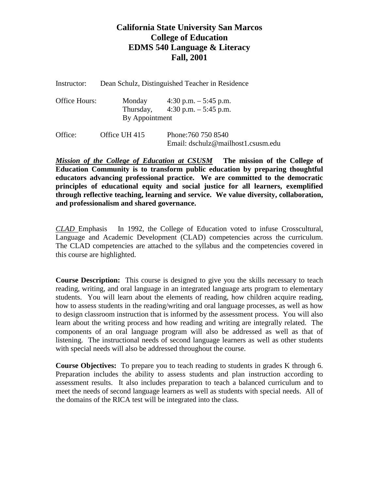## **California State University San Marcos College of Education EDMS 540 Language & Literacy Fall, 2001**

| Instructor:   | Dean Schulz, Distinguished Teacher in Residence |                                                                                                     |  |
|---------------|-------------------------------------------------|-----------------------------------------------------------------------------------------------------|--|
| Office Hours: | By Appointment                                  | Monday $4:30 \text{ p.m.} - 5:45 \text{ p.m.}$<br>Thursday, $4:30 \text{ p.m.} - 5:45 \text{ p.m.}$ |  |
| Office:       | Office UH 415                                   | Phone: 760 750 8540<br>Email: dschulz@mailhost1.csusm.edu                                           |  |

*Mission of the College of Education at CSUSM* **The mission of the College of Education Community is to transform public education by preparing thoughtful educators advancing professional practice. We are committed to the democratic principles of educational equity and social justice for all learners, exemplified through reflective teaching, learning and service. We value diversity, collaboration, and professionalism and shared governance.**

*CLAD* Emphasis In 1992, the College of Education voted to infuse Crosscultural, Language and Academic Development (CLAD) competencies across the curriculum. The CLAD competencies are attached to the syllabus and the competencies covered in this course are highlighted.

**Course Description:** This course is designed to give you the skills necessary to teach reading, writing, and oral language in an integrated language arts program to elementary students. You will learn about the elements of reading, how children acquire reading, how to assess students in the reading/writing and oral language processes, as well as how to design classroom instruction that is informed by the assessment process. You will also learn about the writing process and how reading and writing are integrally related. The components of an oral language program will also be addressed as well as that of listening. The instructional needs of second language learners as well as other students with special needs will also be addressed throughout the course.

**Course Objectives:** To prepare you to teach reading to students in grades K through 6. Preparation includes the ability to assess students and plan instruction according to assessment results. It also includes preparation to teach a balanced curriculum and to meet the needs of second language learners as well as students with special needs. All of the domains of the RICA test will be integrated into the class.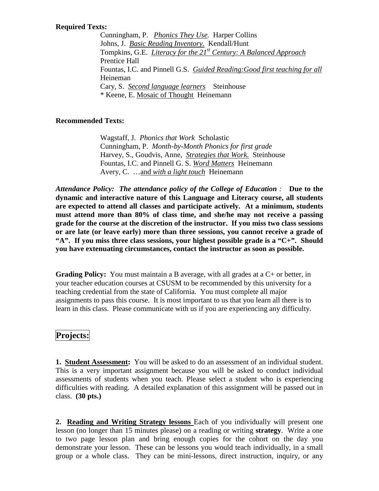### **Required Texts:**

Cunningham, P. *Phonics They Use.* Harper Collins Johns, J. *Basic Reading Inventory.* Kendall/Hunt Tompkins, G.E. *Literacy for the 21st Century: A Balanced Approach* Prentice Hall Fountas, I.C. and Pinnell G.S. *Guided Reading:Good first teaching for all*  Heineman Cary, S. *Second language learners* Steinhouse \* Keene, E. Mosaic of Thought Heinemann

### **Recommended Texts:**

Wagstaff, J. *Phonics that Work* Scholastic Cunningham, P. *Month-by-Month Phonics for first grade* Harvey, S., Goudvis, Anne, *Strategies that Work.* Steinhouse Fountas, I.C. and Pinnell G. S. *Word Matters* Heinemann Avery, C. …and *with a light touch* Heinemann

*Attendance Policy: The attendance policy of the College of Education :* **Due to the dynamic and interactive nature of this Language and Literacy course, all students are expected to attend all classes and participate actively. At a minimum, students must attend more than 80% of class time, and she/he may not receive a passing grade for the course at the discretion of the instructor. If you miss two class sessions or are late (or leave early) more than three sessions, you cannot receive a grade of "A". If you miss three class sessions, your highest possible grade is a "C+". Should you have extenuating circumstances, contact the instructor as soon as possible.**

**Grading Policy:** You must maintain a B average, with all grades at a C+ or better, in your teacher education courses at CSUSM to be recommended by this university for a teaching credential from the state of California. You must complete all major assignments to pass this course. It is most important to us that you learn all there is to learn in this class. Please communicate with us if you are experiencing any difficulty.

## **Projects:**

**1. Student Assessment:** You will be asked to do an assessment of an individual student. This is a very important assignment because you will be asked to conduct individual assessments of students when you teach. Please select a student who is experiencing difficulties with reading. A detailed explanation of this assignment will be passed out in class. **(30 pts.)**

**2. Reading and Writing Strategy lessons** Each of you individually will present one lesson (no longer than 15 minutes please) on a reading or writing **strategy**. Write a one to two page lesson plan and bring enough copies for the cohort on the day you demonstrate your lesson. These can be lessons you would teach individually, in a small group or a whole class. They can be mini-lessons, direct instruction, inquiry, or any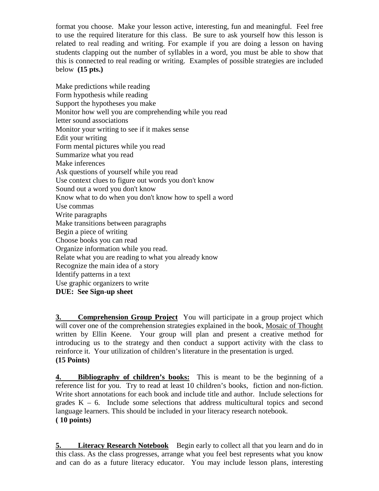format you choose. Make your lesson active, interesting, fun and meaningful. Feel free to use the required literature for this class. Be sure to ask yourself how this lesson is related to real reading and writing. For example if you are doing a lesson on having students clapping out the number of syllables in a word, you must be able to show that this is connected to real reading or writing. Examples of possible strategies are included below **(15 pts.)**

Make predictions while reading Form hypothesis while reading Support the hypotheses you make Monitor how well you are comprehending while you read letter sound associations Monitor your writing to see if it makes sense Edit your writing Form mental pictures while you read Summarize what you read Make inferences Ask questions of yourself while you read Use context clues to figure out words you don't know Sound out a word you don't know Know what to do when you don't know how to spell a word Use commas Write paragraphs Make transitions between paragraphs Begin a piece of writing Choose books you can read Organize information while you read. Relate what you are reading to what you already know Recognize the main idea of a story Identify patterns in a text Use graphic organizers to write **DUE: See Sign-up sheet**

**3. Comprehension Group Project** You will participate in a group project which will cover one of the comprehension strategies explained in the book, Mosaic of Thought written by Ellin Keene. Your group will plan and present a creative method for introducing us to the strategy and then conduct a support activity with the class to reinforce it. Your utilization of children's literature in the presentation is urged. **(15 Points)**

**4. Bibliography of children's books:** This is meant to be the beginning of a reference list for you. Try to read at least 10 children's books, fiction and non-fiction. Write short annotations for each book and include title and author. Include selections for grades  $K - 6$ . Include some selections that address multicultural topics and second language learners. This should be included in your literacy research notebook. **( 10 points)**

**5.** Literacy Research Notebook Begin early to collect all that you learn and do in this class. As the class progresses, arrange what you feel best represents what you know and can do as a future literacy educator. You may include lesson plans, interesting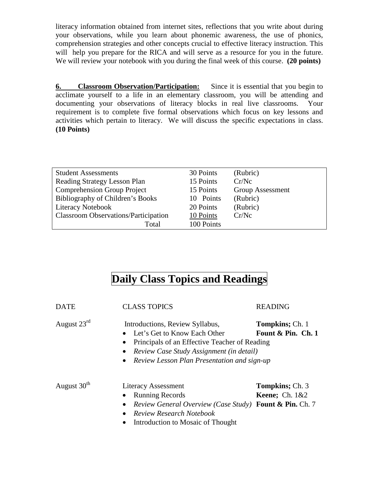literacy information obtained from internet sites, reflections that you write about during your observations, while you learn about phonemic awareness, the use of phonics, comprehension strategies and other concepts crucial to effective literacy instruction. This will help you prepare for the RICA and will serve as a resource for you in the future. We will review your notebook with you during the final week of this course. **(20 points)**

**6. Classroom Observation/Participation:** Since it is essential that you begin to acclimate yourself to a life in an elementary classroom, you will be attending and documenting your observations of literacy blocks in real live classrooms. Your requirement is to complete five formal observations which focus on key lessons and activities which pertain to literacy. We will discuss the specific expectations in class. **(10 Points)**

| <b>Student Assessments</b>                  | 30 Points  | (Rubric)         |
|---------------------------------------------|------------|------------------|
| Reading Strategy Lesson Plan                | 15 Points  | Cr/Ne            |
| <b>Comprehension Group Project</b>          | 15 Points  | Group Assessment |
| Bibliography of Children's Books            | 10 Points  | (Rubric)         |
| <b>Literacy Notebook</b>                    | 20 Points  | (Rubric)         |
| <b>Classroom Observations/Participation</b> | 10 Points  | Cr/Ne            |
| Total                                       | 100 Points |                  |

# **Daily Class Topics and Readings**

| <b>DATE</b>             | <b>CLASS TOPICS</b>                                                                                                                                                                         | <b>READING</b>                                |  |
|-------------------------|---------------------------------------------------------------------------------------------------------------------------------------------------------------------------------------------|-----------------------------------------------|--|
| August $23rd$           | Introductions, Review Syllabus,<br>Let's Get to Know Each Other<br>$\bullet$<br>Principals of an Effective Teacher of Reading<br>٠<br>Review Case Study Assignment (in detail)<br>$\bullet$ | <b>Tompkins</b> ; Ch. 1<br>Fount & Pin. Ch. 1 |  |
|                         | Review Lesson Plan Presentation and sign-up<br>$\bullet$                                                                                                                                    |                                               |  |
| August 30 <sup>th</sup> | <b>Literacy Assessment</b>                                                                                                                                                                  | <b>Tompkins</b> ; Ch. 3                       |  |
|                         | • Running Records                                                                                                                                                                           | <b>Keene</b> ; Ch. $1&&2$                     |  |
|                         | Review General Overview (Case Study) Fount & Pin. Ch. 7<br>$\bullet$                                                                                                                        |                                               |  |
|                         | Review Research Notebook<br>$\bullet$                                                                                                                                                       |                                               |  |
|                         | Introduction to Mosaic of Thought<br>٠                                                                                                                                                      |                                               |  |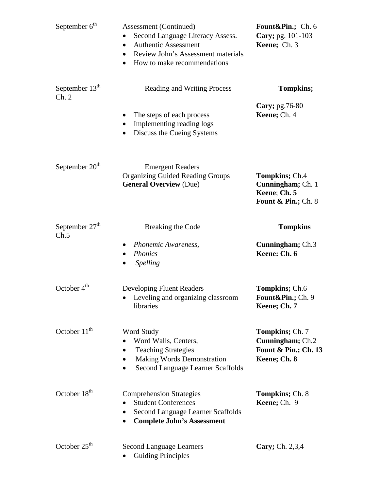| September 6 <sup>th</sup>  | Assessment (Continued)<br>Second Language Literacy Assess.<br>$\bullet$<br><b>Authentic Assessment</b><br>$\bullet$<br>Review John's Assessment materials<br>$\bullet$<br>How to make recommendations<br>$\bullet$ | Fount&Pin. Ch. 6<br>Cary; pg. 101-103<br>Keene; Ch. 3                                 |
|----------------------------|--------------------------------------------------------------------------------------------------------------------------------------------------------------------------------------------------------------------|---------------------------------------------------------------------------------------|
| September $13th$<br>Ch. 2  | <b>Reading and Writing Process</b>                                                                                                                                                                                 | Tompkins;                                                                             |
|                            | The steps of each process<br>Implementing reading logs<br>Discuss the Cueing Systems<br>$\bullet$                                                                                                                  | Cary; pg.76-80<br>Keene; Ch. 4                                                        |
| September 20 <sup>th</sup> | <b>Emergent Readers</b><br><b>Organizing Guided Reading Groups</b><br><b>General Overview (Due)</b>                                                                                                                | Tompkins; Ch.4<br>Cunningham; Ch. 1<br>Keene; Ch. 5<br><b>Fount &amp; Pin.; Ch. 8</b> |
| September $27th$<br>Ch.5   | Breaking the Code                                                                                                                                                                                                  | <b>Tompkins</b>                                                                       |
|                            | Phonemic Awareness,<br><b>Phonics</b><br><b>Spelling</b><br>$\bullet$                                                                                                                                              | <b>Cunningham</b> ; Ch.3<br>Keene: Ch. 6                                              |
| October $4th$              | <b>Developing Fluent Readers</b><br>Leveling and organizing classroom<br>libraries                                                                                                                                 | <b>Tompkins</b> ; Ch.6<br>Fount&Pin. Ch. 9<br>Keene; Ch. 7                            |
| October 11 <sup>th</sup>   | Word Study<br>Word Walls, Centers,<br><b>Teaching Strategies</b><br><b>Making Words Demonstration</b><br>Second Language Learner Scaffolds                                                                         | <b>Tompkins</b> ; Ch. 7<br>Cunningham; Ch.2<br>Fount & Pin.; Ch. 13<br>Keene; Ch. 8   |
| October 18 <sup>th</sup>   | <b>Comprehension Strategies</b><br><b>Student Conferences</b><br>Second Language Learner Scaffolds<br><b>Complete John's Assessment</b>                                                                            | <b>Tompkins</b> ; Ch. 8<br>Keene; Ch. 9                                               |
| October 25 <sup>th</sup>   | <b>Second Language Learners</b><br><b>Guiding Principles</b>                                                                                                                                                       | Cary; Ch. 2,3,4                                                                       |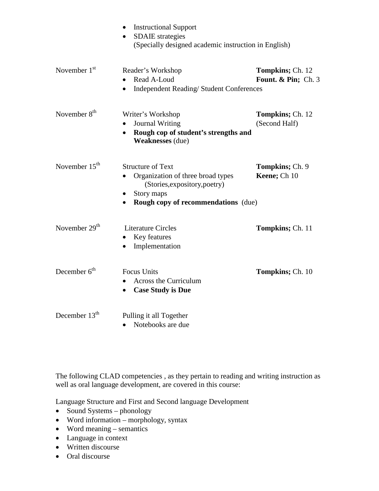|                          | <b>Instructional Support</b><br><b>SDAIE</b> strategies<br>(Specially designed academic instruction in English)                                                                      |                                                   |  |
|--------------------------|--------------------------------------------------------------------------------------------------------------------------------------------------------------------------------------|---------------------------------------------------|--|
| November $1st$           | Reader's Workshop<br>Read A-Loud<br>$\bullet$<br><b>Independent Reading/Student Conferences</b><br>$\bullet$                                                                         | <b>Tompkins</b> ; Ch. 12<br>Fount. & Pin; $Ch. 3$ |  |
| November 8 <sup>th</sup> | Writer's Workshop<br><b>Journal Writing</b><br>Rough cop of student's strengths and<br>$\bullet$<br><b>Weaknesses</b> (due)                                                          | <b>Tompkins</b> ; Ch. 12<br>(Second Half)         |  |
| November $15th$          | <b>Structure of Text</b><br>Organization of three broad types<br>(Stories, expository, poetry)<br>Story maps<br>$\bullet$<br><b>Rough copy of recommendations</b> (due)<br>$\bullet$ | <b>Tompkins</b> ; Ch. 9<br>Keene; Ch 10           |  |
| November $29th$          | <b>Literature Circles</b><br>Key features<br>٠<br>Implementation<br>$\bullet$                                                                                                        | <b>Tompkins</b> ; Ch. 11                          |  |
| December $6th$           | <b>Focus Units</b><br><b>Across the Curriculum</b><br><b>Case Study is Due</b><br>$\bullet$                                                                                          | <b>Tompkins</b> ; Ch. 10                          |  |
| December $13th$          | Pulling it all Together<br>Notebooks are due<br>$\bullet$                                                                                                                            |                                                   |  |

The following CLAD competencies , as they pertain to reading and writing instruction as well as oral language development, are covered in this course:

Language Structure and First and Second language Development

- Sound Systems phonology
- Word information morphology, syntax
- Word meaning semantics
- Language in context
- Written discourse
- Oral discourse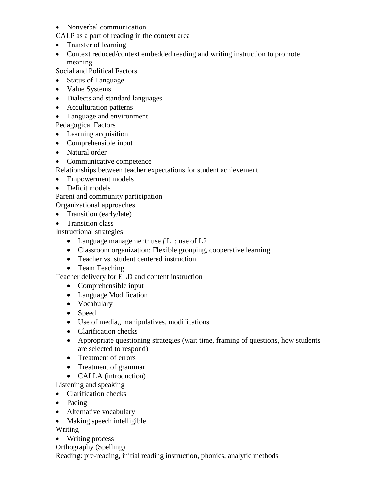## • Nonverbal communication

CALP as a part of reading in the context area

- Transfer of learning
- Context reduced/context embedded reading and writing instruction to promote meaning

Social and Political Factors

- Status of Language
- Value Systems
- Dialects and standard languages
- Acculturation patterns
- Language and environment

Pedagogical Factors

- Learning acquisition
- Comprehensible input
- Natural order
- Communicative competence

Relationships between teacher expectations for student achievement

- Empowerment models
- Deficit models

Parent and community participation

Organizational approaches

- Transition (early/late)
- Transition class

Instructional strategies

- Language management: use *f* L1; use of L2
- Classroom organization: Flexible grouping, cooperative learning
- Teacher vs. student centered instruction
- Team Teaching

Teacher delivery for ELD and content instruction

- Comprehensible input
- Language Modification
- Vocabulary
- Speed
- Use of media,, manipulatives, modifications
- Clarification checks
- Appropriate questioning strategies (wait time, framing of questions, how students are selected to respond)
- Treatment of errors
- Treatment of grammar
- **CALLA** (introduction)

Listening and speaking

- Clarification checks
- Pacing
- Alternative vocabulary
- Making speech intelligible

Writing

• Writing process

Orthography (Spelling)

Reading: pre-reading, initial reading instruction, phonics, analytic methods